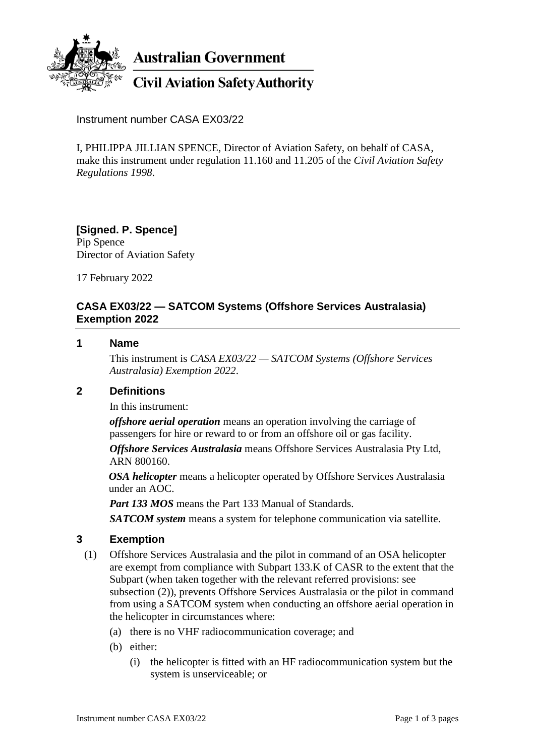

**Australian Government** 

# **Civil Aviation Safety Authority**

Instrument number CASA EX03/22

I, PHILIPPA JILLIAN SPENCE, Director of Aviation Safety, on behalf of CASA, make this instrument under regulation 11.160 and 11.205 of the *Civil Aviation Safety Regulations 1998*.

**[Signed. P. Spence]** Pip Spence Director of Aviation Safety

17 February 2022

### **CASA EX03/22 — SATCOM Systems (Offshore Services Australasia) Exemption 2022**

#### **1 Name**

This instrument is *CASA EX03/22 — SATCOM Systems (Offshore Services Australasia) Exemption 2022*.

#### **2 Definitions**

In this instrument:

*offshore aerial operation* means an operation involving the carriage of passengers for hire or reward to or from an offshore oil or gas facility.

*Offshore Services Australasia* means Offshore Services Australasia Pty Ltd, ARN 800160.

*OSA helicopter* means a helicopter operated by Offshore Services Australasia under an AOC.

*Part 133 MOS* means the Part 133 Manual of Standards.

*SATCOM system* means a system for telephone communication via satellite.

#### **3 Exemption**

- (1) Offshore Services Australasia and the pilot in command of an OSA helicopter are exempt from compliance with Subpart 133.K of CASR to the extent that the Subpart (when taken together with the relevant referred provisions: see subsection (2)), prevents Offshore Services Australasia or the pilot in command from using a SATCOM system when conducting an offshore aerial operation in the helicopter in circumstances where:
	- (a) there is no VHF radiocommunication coverage; and
	- (b) either:
		- (i) the helicopter is fitted with an HF radiocommunication system but the system is unserviceable; or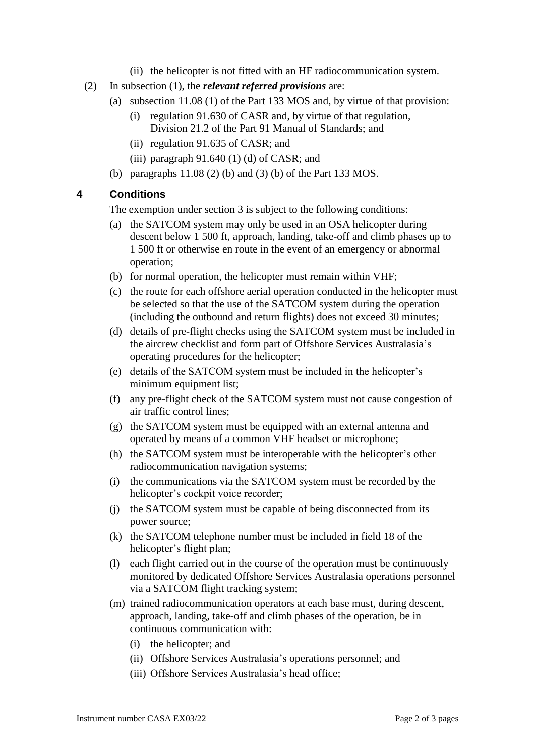- (ii) the helicopter is not fitted with an HF radiocommunication system.
- (2) In subsection (1), the *relevant referred provisions* are:
	- (a) subsection 11.08 (1) of the Part 133 MOS and, by virtue of that provision:
		- (i) regulation 91.630 of CASR and, by virtue of that regulation, Division 21.2 of the Part 91 Manual of Standards; and
		- (ii) regulation 91.635 of CASR; and
		- (iii) paragraph  $91.640$  (1) (d) of CASR; and
	- (b) paragraphs 11.08 (2) (b) and (3) (b) of the Part 133 MOS.

#### **4 Conditions**

The exemption under section 3 is subject to the following conditions:

- (a) the SATCOM system may only be used in an OSA helicopter during descent below 1 500 ft, approach, landing, take-off and climb phases up to 1 500 ft or otherwise en route in the event of an emergency or abnormal operation;
- (b) for normal operation, the helicopter must remain within VHF;
- (c) the route for each offshore aerial operation conducted in the helicopter must be selected so that the use of the SATCOM system during the operation (including the outbound and return flights) does not exceed 30 minutes;
- (d) details of pre-flight checks using the SATCOM system must be included in the aircrew checklist and form part of Offshore Services Australasia's operating procedures for the helicopter;
- (e) details of the SATCOM system must be included in the helicopter's minimum equipment list;
- (f) any pre-flight check of the SATCOM system must not cause congestion of air traffic control lines;
- (g) the SATCOM system must be equipped with an external antenna and operated by means of a common VHF headset or microphone;
- (h) the SATCOM system must be interoperable with the helicopter's other radiocommunication navigation systems;
- (i) the communications via the SATCOM system must be recorded by the helicopter's cockpit voice recorder;
- (j) the SATCOM system must be capable of being disconnected from its power source;
- (k) the SATCOM telephone number must be included in field 18 of the helicopter's flight plan;
- (l) each flight carried out in the course of the operation must be continuously monitored by dedicated Offshore Services Australasia operations personnel via a SATCOM flight tracking system;
- (m) trained radiocommunication operators at each base must, during descent, approach, landing, take-off and climb phases of the operation, be in continuous communication with:
	- (i) the helicopter; and
	- (ii) Offshore Services Australasia's operations personnel; and
	- (iii) Offshore Services Australasia's head office;